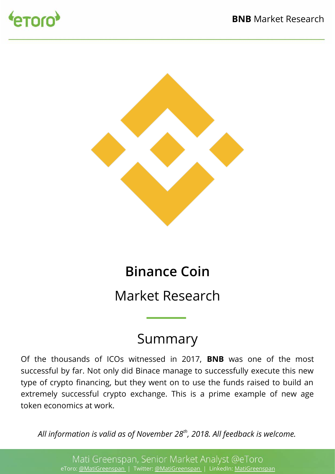



# **Binance Coin**

Market Research

## Summary

Of the thousands of ICOs witnessed in 2017, **BNB** was one of the most successful by far. Not only did Binace manage to successfully execute this new type of crypto fnancing, but they went on to use the funds raised to build an extremely successful crypto exchange. This is a prime example of new age token economics at work.

*All information is valid as of November 28th, 2018. All feedback is welcome.*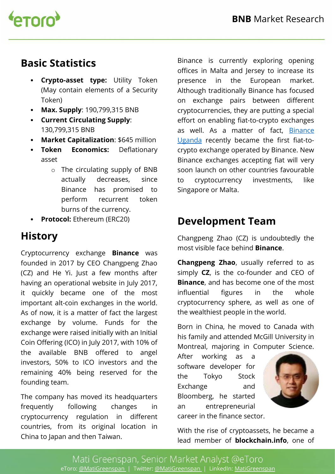

## **Basic Statistics**

- **Crypto-asset type:** Utility Token (May contain elements of a Security Token)
- **Max. Supply**: 190,799,315 BNB
- **Current Circulating Supply**: 130,799,315 BNB
- **Market Capitalization**: \$645 million
- **Token Economics:** Deflationary asset
	- o The circulating supply of BNB actually decreases, since Binance has promised to perform recurrent token burns of the currency.
- **Protocol:** Ethereum (ERC20)

## **History**

Cryptocurrency exchange **Binance** was founded in 2017 by CEO Changpeng Zhao (CZ) and He Yi. Just a few months after having an operational website in July 2017, it quickly became one of the most important alt-coin exchanges in the world. As of now, it is a matter of fact the largest exchange by volume. Funds for the exchange were raised initially with an Initial Coin Ofering (ICO) in July 2017, with 10% of the available BNB offered to angel investors, 50% to ICO investors and the remaining 40% being reserved for the founding team.

The company has moved its headquarters frequently following changes in cryptocurrency regulation in diferent countries, from its original location in China to Japan and then Taiwan.

Binance is currently exploring opening offices in Malta and Jersey to increase its presence in the European market. Although traditionally Binance has focused on exchange pairs between diferent cryptocurrencies, they are putting a special effort on enabling fiat-to-crypto exchanges as well. As a matter of fact, Binance Uganda recently became the first fiat-tocrypto exchange operated by Binance. New Binance exchanges accepting fiat will very soon launch on other countries favourable to cryptocurrency investments, like Singapore or Malta.

#### **Development Team**

Changpeng Zhao (CZ) is undoubtedly the most visible face behind **Binance**.

**Changpeng Zhao**, usually referred to as simply **CZ**, is the co-founder and CEO of **Binance**, and has become one of the most influential figures in the whole cryptocurrency sphere, as well as one of the wealthiest people in the world.

Born in China, he moved to Canada with his family and attended McGill University in Montreal, majoring in Computer Science.

After working as a software developer for the Tokyo Stock Exchange and Bloomberg, he started an entrepreneurial career in the fnance sector.



With the rise of cryptoassets, he became a lead member of **blockchain.info**, one of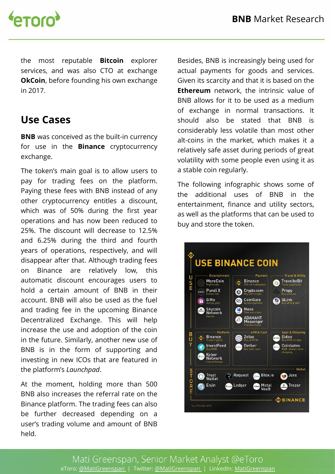

the most reputable **Bitcoin** explorer services, and was also CTO at exchange **OkCoin**, before founding his own exchange in 2017.

#### **Use Cases**

**BNB** was conceived as the built-in currency for use in the **Binance** cryptocurrency exchange.

The token's main goal is to allow users to pay for trading fees on the platform. Paying these fees with BNB instead of any other cryptocurrency entitles a discount, which was of 50% during the first year operations and has now been reduced to 25%. The discount will decrease to 12.5% and 6.25% during the third and fourth years of operations, respectively, and will disappear after that. Although trading fees on Binance are relatively low, this automatic discount encourages users to hold a certain amount of BNB in their account. BNB will also be used as the fuel and trading fee in the upcoming Binance Decentralized Exchange. This will help increase the use and adoption of the coin in the future. Similarly, another new use of BNB is in the form of supporting and investing in new ICOs that are featured in the platform's *Launchpad*.

At the moment, holding more than 500 BNB also increases the referral rate on the Binance platform. The trading fees can also be further decreased depending on a user's trading volume and amount of BNB held.

Besides, BNB is increasingly being used for actual payments for goods and services. Given its scarcity and that it is based on the **Ethereum** network, the intrinsic value of BNB allows for it to be used as a medium of exchange in normal transactions. It should also be stated that BNB is considerably less volatile than most other alt-coins in the market, which makes it a relatively safe asset during periods of great volatility with some people even using it as a stable coin regularly.

The following infographic shows some of the additional uses of BNB in the entertainment, finance and utility sectors, as well as the platforms that can be used to buy and store the token.

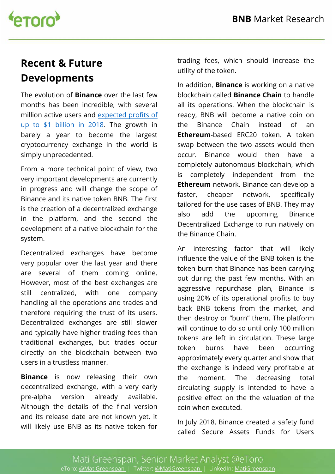

## **Recent & Future Developments**

The evolution of **Binance** over the last few months has been incredible, with several million active users and expected profits of up to \$1 billion in 2018. The growth in barely a year to become the largest cryptocurrency exchange in the world is simply unprecedented.

From a more technical point of view, two very important developments are currently in progress and will change the scope of Binance and its native token BNB. The frst is the creation of a decentralized exchange in the platform, and the second the development of a native blockchain for the system.

Decentralized exchanges have become very popular over the last year and there are several of them coming online. However, most of the best exchanges are still centralized, with one company handling all the operations and trades and therefore requiring the trust of its users. Decentralized exchanges are still slower and typically have higher trading fees than traditional exchanges, but trades occur directly on the blockchain between two users in a trustless manner.

**Binance** is now releasing their own decentralized exchange, with a very early pre-alpha version already available. Although the details of the final version and its release date are not known yet, it will likely use BNB as its native token for trading fees, which should increase the utility of the token.

In addition, **Binance** is working on a native blockchain called **Binance Chain** to handle all its operations. When the blockchain is ready, BNB will become a native coin on the Binance Chain instead of an **Ethereum**-based ERC20 token. A token swap between the two assets would then occur. Binance would then have a completely autonomous blockchain, which is completely independent from the **Ethereum** network. Binance can develop a faster, cheaper network, specifically tailored for the use cases of BNB. They may also add the upcoming Binance Decentralized Exchange to run natively on the Binance Chain.

An interesting factor that will likely infuence the value of the BNB token is the token burn that Binance has been carrying out during the past few months. With an aggressive repurchase plan, Binance is using 20% of its operational profits to buy back BNB tokens from the market, and then destroy or "burn" them. The platform will continue to do so until only 100 million tokens are left in circulation. These large token burns have been occurring approximately every quarter and show that the exchange is indeed very proftable at the moment. The decreasing total circulating supply is intended to have a positive efect on the the valuation of the coin when executed.

In July 2018, Binance created a safety fund called Secure Assets Funds for Users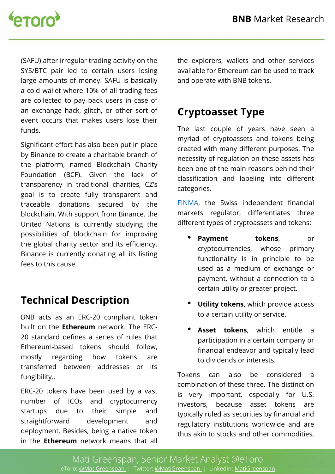

(SAFU) after irregular trading activity on the SYS/BTC pair led to certain users losing large amounts of money. SAFU is basically a cold wallet where 10% of all trading fees are collected to pay back users in case of an exchange hack, glitch, or other sort of event occurs that makes users lose their funds.

Significant effort has also been put in place by Binance to create a charitable branch of the platform, named Blockchain Charity Foundation (BCF). Given the lack of transparency in traditional charities, CZ's goal is to create fully transparent and traceable donations secured by the blockchain. With support from Binance, the United Nations is currently studying the possibilities of blockchain for improving the global charity sector and its efficiency. Binance is currently donating all its listing fees to this cause.

## **Technical Description**

BNB acts as an ERC-20 compliant token built on the **Ethereum** network. The ERC-20 standard defnes a series of rules that Ethereum-based tokens should follow, mostly regarding how tokens are transferred between addresses or its fungibility..

ERC-20 tokens have been used by a vast number of ICOs and cryptocurrency startups due to their simple and straightforward development and deployment. Besides, being a native token in the **Ethereum** network means that all

the explorers, wallets and other services available for Ethereum can be used to track and operate with BNB tokens.

#### **Cryptoasset Type**

The last couple of years have seen a myriad of cryptoassets and tokens being created with many diferent purposes. The necessity of regulation on these assets has been one of the main reasons behind their classifcation and labeling into diferent categories.

FINMA, the Swiss independent financial markets regulator, diferentiates three diferent types of cryptoassets and tokens:

- **Payment tokens**, or cryptocurrencies, whose primary functionality is in principle to be used as a medium of exchange or payment, without a connection to a certain utility or greater project.
- **Utility tokens**, which provide access to a certain utility or service.
- **Asset tokens**, which entitle a participation in a certain company or fnancial endeavor and typically lead to dividends or interests.

Tokens can also be considered a combination of these three. The distinction is very important, especially for U.S. investors, because asset tokens are typically ruled as securities by financial and regulatory institutions worldwide and are thus akin to stocks and other commodities,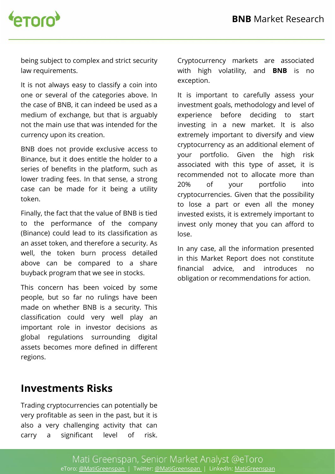

being subject to complex and strict security law requirements.

It is not always easy to classify a coin into one or several of the categories above. In the case of BNB, it can indeed be used as a medium of exchange, but that is arguably not the main use that was intended for the currency upon its creation.

BNB does not provide exclusive access to Binance, but it does entitle the holder to a series of benefits in the platform, such as lower trading fees. In that sense, a strong case can be made for it being a utility token.

Finally, the fact that the value of BNB is tied to the performance of the company (Binance) could lead to its classifcation as an asset token, and therefore a security. As well, the token burn process detailed above can be compared to a share buyback program that we see in stocks.

This concern has been voiced by some people, but so far no rulings have been made on whether BNB is a security. This classifcation could very well play an important role in investor decisions as global regulations surrounding digital assets becomes more defned in diferent regions.

Cryptocurrency markets are associated with high volatility, and **BNB** is no exception.

It is important to carefully assess your investment goals, methodology and level of experience before deciding to start investing in a new market. It is also extremely important to diversify and view cryptocurrency as an additional element of your portfolio. Given the high risk associated with this type of asset, it is recommended not to allocate more than 20% of your portfolio into cryptocurrencies. Given that the possibility to lose a part or even all the money invested exists, it is extremely important to invest only money that you can afford to lose.

In any case, all the information presented in this Market Report does not constitute fnancial advice, and introduces no obligation or recommendations for action.

#### **Investments Risks**

Trading cryptocurrencies can potentially be very profitable as seen in the past, but it is also a very challenging activity that can carry a significant level of risk.